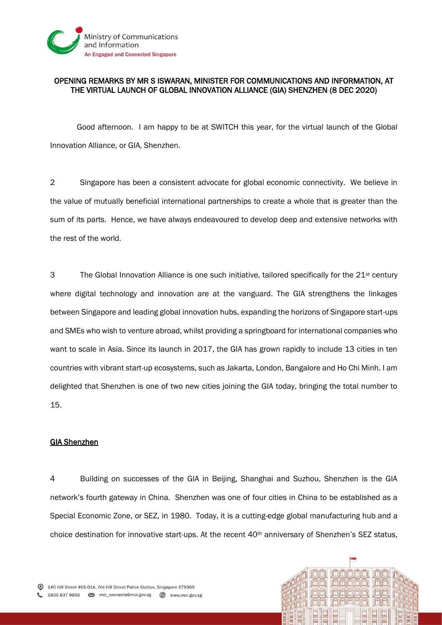

## OPENING REMARKS BY MR S ISWARAN, MINISTER FOR COMMUNICATIONS AND INFORMATION, AT THE VIRTUAL LAUNCH OF GLOBAL INNOVATION ALLIANCE (GIA) SHENZHEN (8 DEC 2020)

Good afternoon. I am happy to be at SWITCH this year, for the virtual launch of the Global Innovation Alliance, or GIA, Shenzhen.

2 Singapore has been a consistent advocate for global economic connectivity. We believe in the value of mutually beneficial international partnerships to create a whole that is greater than the sum of its parts. Hence, we have always endeavoured to develop deep and extensive networks with the rest of the world.

 $3$  The Global Innovation Alliance is one such initiative, tailored specifically for the  $21<sup>st</sup>$  century where digital technology and innovation are at the vanguard. The GIA strengthens the linkages between Singapore and leading global innovation hubs, expanding the horizons of Singapore start-ups and SMEs who wish to venture abroad, whilst providing a springboard for international companies who want to scale in Asia. Since its launch in 2017, the GIA has grown rapidly to include 13 cities in ten countries with vibrant start-up ecosystems, such as Jakarta, London, Bangalore and Ho Chi Minh. I am delighted that Shenzhen is one of two new cities joining the GIA today, bringing the total number to 15.

## GIA Shenzhen

4 Building on successes of the GIA in Beijing, Shanghai and Suzhou, Shenzhen is the GIA network's fourth gateway in China. Shenzhen was one of four cities in China to be established as a Special Economic Zone, or SEZ, in 1980. Today, it is a cutting-edge global manufacturing hub and a choice destination for innovative start-ups. At the recent 40<sup>th</sup> anniversary of Shenzhen's SEZ status,

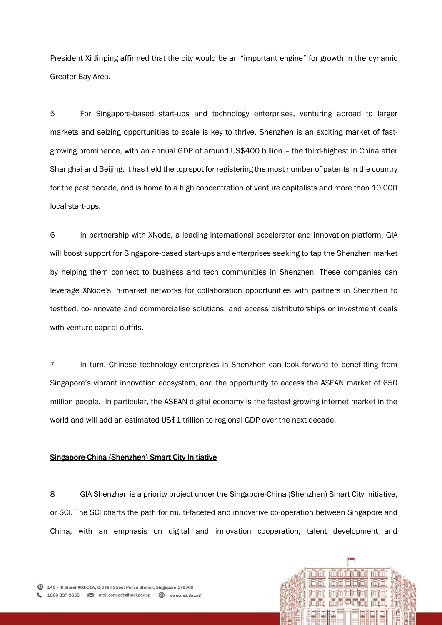President Xi Jinping affirmed that the city would be an "important engine" for growth in the dynamic Greater Bay Area.

5 For Singapore-based start-ups and technology enterprises, venturing abroad to larger markets and seizing opportunities to scale is key to thrive. Shenzhen is an exciting market of fastgrowing prominence, with an annual GDP of around US\$400 billion – the third-highest in China after Shanghai and Beijing. It has held the top spot for registering the most number of patents in the country for the past decade, and is home to a high concentration of venture capitalists and more than 10,000 local start-ups.

6 In partnership with XNode, a leading international accelerator and innovation platform, GIA will boost support for Singapore-based start-ups and enterprises seeking to tap the Shenzhen market by helping them connect to business and tech communities in Shenzhen. These companies can leverage XNode's in-market networks for collaboration opportunities with partners in Shenzhen to testbed, co-innovate and commercialise solutions, and access distributorships or investment deals with venture capital outfits.

7 In turn, Chinese technology enterprises in Shenzhen can look forward to benefitting from Singapore's vibrant innovation ecosystem, and the opportunity to access the ASEAN market of 650 million people. In particular, the ASEAN digital economy is the fastest growing internet market in the world and will add an estimated US\$1 trillion to regional GDP over the next decade.

## Singapore-China (Shenzhen) Smart City Initiative

8 GIA Shenzhen is a priority project under the Singapore-China (Shenzhen) Smart City Initiative, or SCI. The SCI charts the path for multi-faceted and innovative co-operation between Singapore and China, with an emphasis on digital and innovation cooperation, talent development and